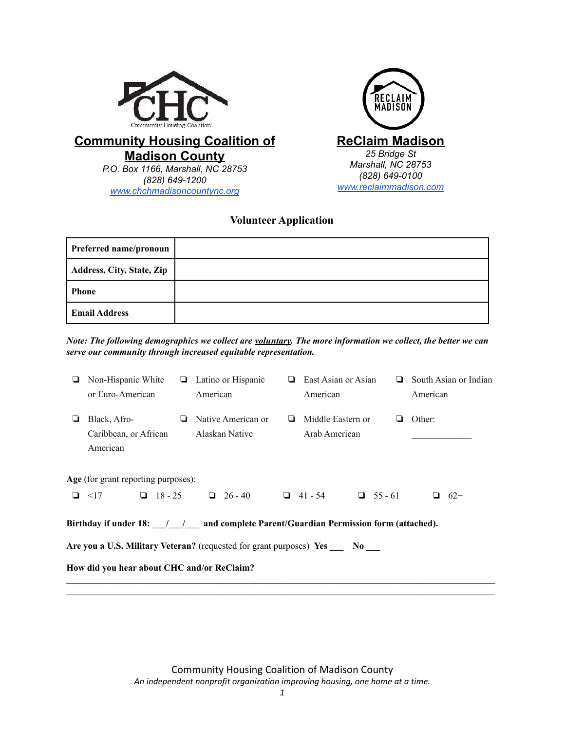



# **Community Housing Coalition of Madison County** *P.O. Box 1166, Marshall, NC 28753*

*(828) 649-1200 [www.chchmadisoncountync.org](http://www.chchmadisoncountync.org)*

# **Volunteer Application**

| Preferred name/pronoun    |  |
|---------------------------|--|
| Address, City, State, Zip |  |
| Phone                     |  |
| <b>Email Address</b>      |  |

*Note: The following demographics we collect are voluntary. The more information we collect, the better we can serve our community through increased equitable representation.*

| ❏                                                                                                                                                                                                                                                        | Non-Hispanic White<br>or Euro-American            |   | $\Box$ Latino or Hispanic<br>American |   | East Asian or Asian<br>American    |  |   | $\Box$ South Asian or Indian<br>American |       |
|----------------------------------------------------------------------------------------------------------------------------------------------------------------------------------------------------------------------------------------------------------|---------------------------------------------------|---|---------------------------------------|---|------------------------------------|--|---|------------------------------------------|-------|
| ⊔                                                                                                                                                                                                                                                        | Black, Afro-<br>Caribbean, or African<br>American | ❏ | Native American or<br>Alaskan Native  | ⊔ | Middle Eastern or<br>Arab American |  | ⊔ | Other:                                   |       |
|                                                                                                                                                                                                                                                          | Age (for grant reporting purposes):<br>$\Box$ <17 |   | $126 - 40$                            |   |                                    |  |   |                                          | $62+$ |
| $18 - 25$<br>$\Box$ 41 - 54 $\Box$ 55 - 61<br>Birthday if under 18: / / and complete Parent/Guardian Permission form (attached).<br>Are you a U.S. Military Veteran? (requested for grant purposes) Yes No<br>How did you hear about CHC and/or ReClaim? |                                                   |   |                                       |   |                                    |  |   |                                          |       |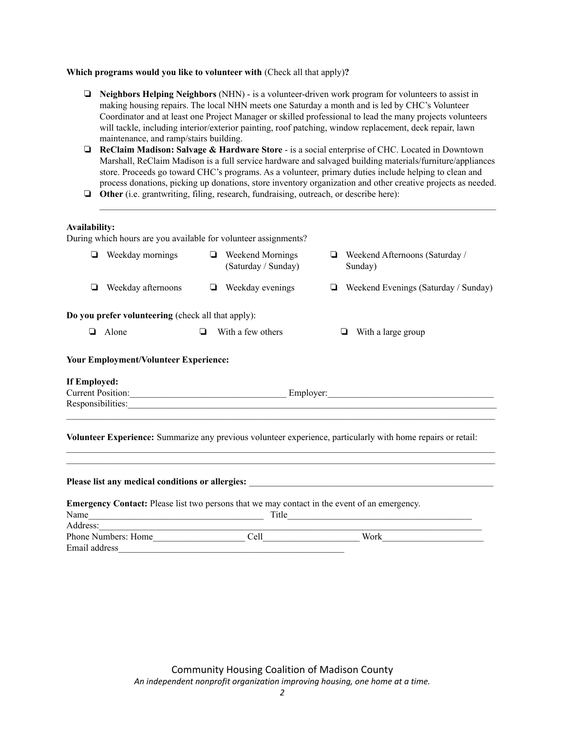### **Which programs would you like to volunteer with** (Check all that apply)**?**

| ❏             | Neighbors Helping Neighbors (NHN) - is a volunteer-driven work program for volunteers to assist in<br>making housing repairs. The local NHN meets one Saturday a month and is led by CHC's Volunteer<br>Coordinator and at least one Project Manager or skilled professional to lead the many projects volunteers<br>will tackle, including interior/exterior painting, roof patching, window replacement, deck repair, lawn                                                   |        |                                                                                                                                                                                                                                |   |                                                                                                                                                                                                                                |  |  |  |
|---------------|--------------------------------------------------------------------------------------------------------------------------------------------------------------------------------------------------------------------------------------------------------------------------------------------------------------------------------------------------------------------------------------------------------------------------------------------------------------------------------|--------|--------------------------------------------------------------------------------------------------------------------------------------------------------------------------------------------------------------------------------|---|--------------------------------------------------------------------------------------------------------------------------------------------------------------------------------------------------------------------------------|--|--|--|
| ▫             | maintenance, and ramp/stairs building.<br>ReClaim Madison: Salvage & Hardware Store - is a social enterprise of CHC. Located in Downtown<br>Marshall, ReClaim Madison is a full service hardware and salvaged building materials/furniture/appliances<br>store. Proceeds go toward CHC's programs. As a volunteer, primary duties include helping to clean and<br>process donations, picking up donations, store inventory organization and other creative projects as needed. |        |                                                                                                                                                                                                                                |   |                                                                                                                                                                                                                                |  |  |  |
| ❏             | Other (i.e. grantwriting, filing, research, fundraising, outreach, or describe here):                                                                                                                                                                                                                                                                                                                                                                                          |        |                                                                                                                                                                                                                                |   |                                                                                                                                                                                                                                |  |  |  |
| Availability: | During which hours are you available for volunteer assignments?                                                                                                                                                                                                                                                                                                                                                                                                                |        |                                                                                                                                                                                                                                |   |                                                                                                                                                                                                                                |  |  |  |
|               | $\Box$ Weekday mornings                                                                                                                                                                                                                                                                                                                                                                                                                                                        |        | $\Box$ Weekend Mornings<br>(Saturday / Sunday)                                                                                                                                                                                 |   | $\Box$ Weekend Afternoons (Saturday /<br>Sunday)                                                                                                                                                                               |  |  |  |
| ❏             | Weekday afternoons                                                                                                                                                                                                                                                                                                                                                                                                                                                             | ❏      | Weekday evenings                                                                                                                                                                                                               | ❏ | Weekend Evenings (Saturday / Sunday)                                                                                                                                                                                           |  |  |  |
|               | Do you prefer volunteering (check all that apply):                                                                                                                                                                                                                                                                                                                                                                                                                             |        |                                                                                                                                                                                                                                |   |                                                                                                                                                                                                                                |  |  |  |
|               | $\Box$ Alone                                                                                                                                                                                                                                                                                                                                                                                                                                                                   | $\Box$ | With a few others                                                                                                                                                                                                              |   | $\Box$ With a large group                                                                                                                                                                                                      |  |  |  |
|               | <b>Your Employment/Volunteer Experience:</b>                                                                                                                                                                                                                                                                                                                                                                                                                                   |        |                                                                                                                                                                                                                                |   |                                                                                                                                                                                                                                |  |  |  |
| If Employed:  |                                                                                                                                                                                                                                                                                                                                                                                                                                                                                |        |                                                                                                                                                                                                                                |   |                                                                                                                                                                                                                                |  |  |  |
|               |                                                                                                                                                                                                                                                                                                                                                                                                                                                                                |        |                                                                                                                                                                                                                                |   | Current Position: Employer: Employer:<br>Responsibilities:                                                                                                                                                                     |  |  |  |
|               |                                                                                                                                                                                                                                                                                                                                                                                                                                                                                |        |                                                                                                                                                                                                                                |   | Volunteer Experience: Summarize any previous volunteer experience, particularly with home repairs or retail:                                                                                                                   |  |  |  |
|               |                                                                                                                                                                                                                                                                                                                                                                                                                                                                                |        |                                                                                                                                                                                                                                |   | Please list any medical conditions or allergies: North Constantinople and the state of the state of the state of the state of the state of the state of the state of the state of the state of the state of the state of the s |  |  |  |
|               | <b>Emergency Contact:</b> Please list two persons that we may contact in the event of an emergency.                                                                                                                                                                                                                                                                                                                                                                            |        |                                                                                                                                                                                                                                |   |                                                                                                                                                                                                                                |  |  |  |
| Address:      | <u> 1989 - Johann John Harry Barbara, martin a bhaile an t-Ann an t-Ann an t-Ann an t-Ann an t-Ann an t-Ann an t-</u><br>Phone Numbers: Home                                                                                                                                                                                                                                                                                                                                   |        | Cell and the contract of the contract of the contract of the contract of the contract of the contract of the contract of the contract of the contract of the contract of the contract of the contract of the contract of the c |   | Work                                                                                                                                                                                                                           |  |  |  |
| Email address |                                                                                                                                                                                                                                                                                                                                                                                                                                                                                |        |                                                                                                                                                                                                                                |   |                                                                                                                                                                                                                                |  |  |  |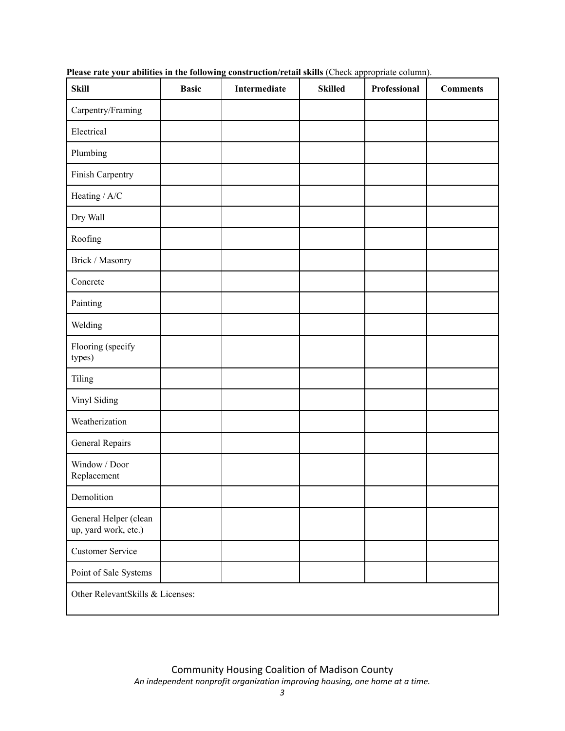| <b>Skill</b>                                  | <b>Basic</b> | Intermediate | <b>Skilled</b> | Professional | <b>Comments</b> |  |
|-----------------------------------------------|--------------|--------------|----------------|--------------|-----------------|--|
| Carpentry/Framing                             |              |              |                |              |                 |  |
| Electrical                                    |              |              |                |              |                 |  |
| Plumbing                                      |              |              |                |              |                 |  |
| Finish Carpentry                              |              |              |                |              |                 |  |
| Heating / A/C                                 |              |              |                |              |                 |  |
| Dry Wall                                      |              |              |                |              |                 |  |
| Roofing                                       |              |              |                |              |                 |  |
| Brick / Masonry                               |              |              |                |              |                 |  |
| Concrete                                      |              |              |                |              |                 |  |
| Painting                                      |              |              |                |              |                 |  |
| Welding                                       |              |              |                |              |                 |  |
| Flooring (specify<br>types)                   |              |              |                |              |                 |  |
| Tiling                                        |              |              |                |              |                 |  |
| Vinyl Siding                                  |              |              |                |              |                 |  |
| Weatherization                                |              |              |                |              |                 |  |
| General Repairs                               |              |              |                |              |                 |  |
| Window / Door<br>Replacement                  |              |              |                |              |                 |  |
| Demolition                                    |              |              |                |              |                 |  |
| General Helper (clean<br>up, yard work, etc.) |              |              |                |              |                 |  |
| <b>Customer Service</b>                       |              |              |                |              |                 |  |
| Point of Sale Systems                         |              |              |                |              |                 |  |
| Other RelevantSkills & Licenses:              |              |              |                |              |                 |  |

**Please rate your abilities in the following construction/retail skills** (Check appropriate column).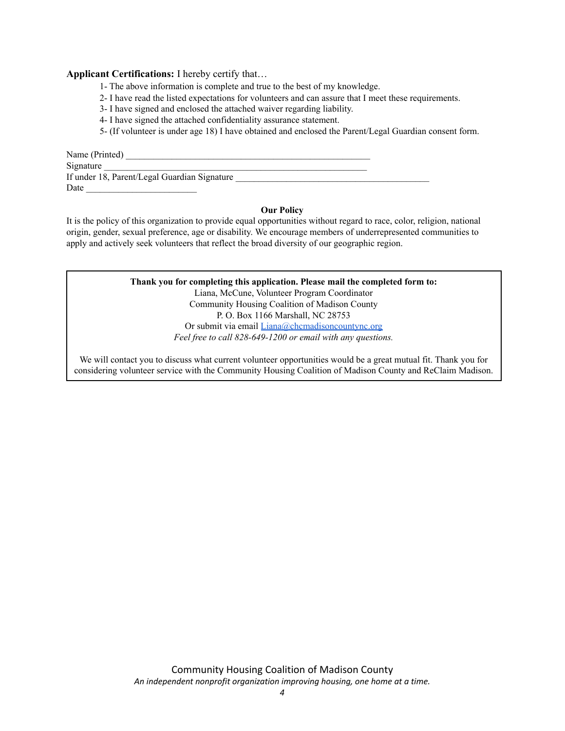### **Applicant Certifications:** I hereby certify that…

- 1- The above information is complete and true to the best of my knowledge.
- 2- I have read the listed expectations for volunteers and can assure that I meet these requirements.
- 3- I have signed and enclosed the attached waiver regarding liability.
- 4- I have signed the attached confidentiality assurance statement.
- 5- (If volunteer is under age 18) I have obtained and enclosed the Parent/Legal Guardian consent form.

Name (Printed) Signature If under 18, Parent/Legal Guardian Signature \_\_\_\_\_\_\_\_\_\_\_\_\_\_\_\_\_\_\_\_\_\_\_\_\_\_\_\_\_\_\_\_\_\_\_ Date  $\Box$ 

#### **Our Policy**

It is the policy of this organization to provide equal opportunities without regard to race, color, religion, national origin, gender, sexual preference, age or disability. We encourage members of underrepresented communities to apply and actively seek volunteers that reflect the broad diversity of our geographic region.

## **Thank you for completing this application. Please mail the completed form to:** Liana, McCune, Volunteer Program Coordinator

Community Housing Coalition of Madison County P. O. Box 1166 Marshall, NC 28753 Or submit via email [Liana@chcmadisoncountync.org](mailto:Laura@chcmadisoncountync.org) *Feel free to call 828-649-1200 or email with any questions.*

We will contact you to discuss what current volunteer opportunities would be a great mutual fit. Thank you for considering volunteer service with the Community Housing Coalition of Madison County and ReClaim Madison.